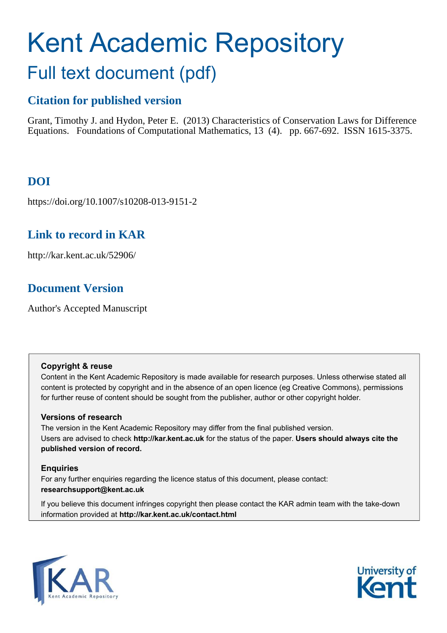# Kent Academic Repository Full text document (pdf)

# **Citation for published version**

Grant, Timothy J. and Hydon, Peter E. (2013) Characteristics of Conservation Laws for Difference Equations. Foundations of Computational Mathematics, 13 (4). pp. 667-692. ISSN 1615-3375.

# **DOI**

https://doi.org/10.1007/s10208-013-9151-2

# **Link to record in KAR**

http://kar.kent.ac.uk/52906/

## **Document Version**

Author's Accepted Manuscript

## **Copyright & reuse**

Content in the Kent Academic Repository is made available for research purposes. Unless otherwise stated all content is protected by copyright and in the absence of an open licence (eg Creative Commons), permissions for further reuse of content should be sought from the publisher, author or other copyright holder.

## **Versions of research**

The version in the Kent Academic Repository may differ from the final published version. Users are advised to check **http://kar.kent.ac.uk** for the status of the paper. **Users should always cite the published version of record.**

## **Enquiries**

For any further enquiries regarding the licence status of this document, please contact: **researchsupport@kent.ac.uk**

If you believe this document infringes copyright then please contact the KAR admin team with the take-down information provided at **http://kar.kent.ac.uk/contact.html**



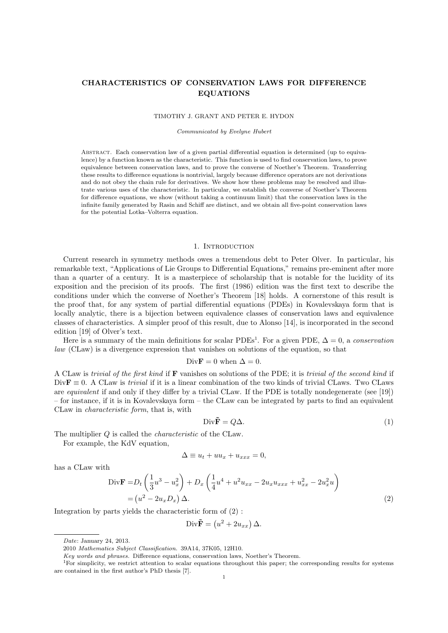### CHARACTERISTICS OF CONSERVATION LAWS FOR DIFFERENCE EQUATIONS

#### TIMOTHY J. GRANT AND PETER E. HYDON

Communicated by Evelyne Hubert

Abstract. Each conservation law of a given partial differential equation is determined (up to equivalence) by a function known as the characteristic. This function is used to find conservation laws, to prove equivalence between conservation laws, and to prove the converse of Noether's Theorem. Transferring these results to difference equations is nontrivial, largely because difference operators are not derivations and do not obey the chain rule for derivatives. We show how these problems may be resolved and illustrate various uses of the characteristic. In particular, we establish the converse of Noether's Theorem for difference equations, we show (without taking a continuum limit) that the conservation laws in the infinite family generated by Rasin and Schiff are distinct, and we obtain all five-point conservation laws for the potential Lotka–Volterra equation.

#### 1. INTRODUCTION

Current research in symmetry methods owes a tremendous debt to Peter Olver. In particular, his remarkable text, "Applications of Lie Groups to Differential Equations," remains pre-eminent after more than a quarter of a century. It is a masterpiece of scholarship that is notable for the lucidity of its exposition and the precision of its proofs. The first (1986) edition was the first text to describe the conditions under which the converse of Noether's Theorem [18] holds. A cornerstone of this result is the proof that, for any system of partial differential equations (PDEs) in Kovalevskaya form that is locally analytic, there is a bijection between equivalence classes of conservation laws and equivalence classes of characteristics. A simpler proof of this result, due to Alonso [14], is incorporated in the second edition [19] of Olver's text.

Here is a summary of the main definitions for scalar PDEs<sup>1</sup>. For a given PDE,  $\Delta = 0$ , a conservation law (CLaw) is a divergence expression that vanishes on solutions of the equation, so that

Div
$$
\mathbf{F} = 0
$$
 when  $\Delta = 0$ .

A CLaw is trivial of the first kind if F vanishes on solutions of the PDE; it is trivial of the second kind if  $Div \mathbf{F} \equiv 0$ . A CLaw is *trivial* if it is a linear combination of the two kinds of trivial CLaws. Two CLaws are equivalent if and only if they differ by a trivial CLaw. If the PDE is totally nondegenerate (see [19]) – for instance, if it is in Kovalevskaya form – the CLaw can be integrated by parts to find an equivalent CLaw in characteristic form, that is, with

$$
\text{Div}\tilde{\mathbf{F}} = Q\Delta. \tag{1}
$$

The multiplier Q is called the characteristic of the CLaw.

For example, the KdV equation,

$$
\Delta \equiv u_t + uu_x + u_{xxx} = 0,
$$

has a CLaw with

$$
Div\mathbf{F} = D_t \left( \frac{1}{3} u^3 - u_x^2 \right) + D_x \left( \frac{1}{4} u^4 + u^2 u_{xx} - 2u_x u_{xxx} + u_{xx}^2 - 2u_x^2 u \right)
$$
  
=  $(u^2 - 2u_x D_x) \Delta.$  (2)

Integration by parts yields the characteristic form of (2) :

$$
Div\tilde{\mathbf{F}} = (u^2 + 2u_{xx}) \Delta.
$$

Date: January 24, 2013.

<sup>2010</sup> Mathematics Subject Classification. 39A14, 37K05, 12H10.

Key words and phrases. Difference equations, conservation laws, Noether's Theorem.

<sup>1</sup>For simplicity, we restrict attention to scalar equations throughout this paper; the corresponding results for systems are contained in the first author's PhD thesis [7].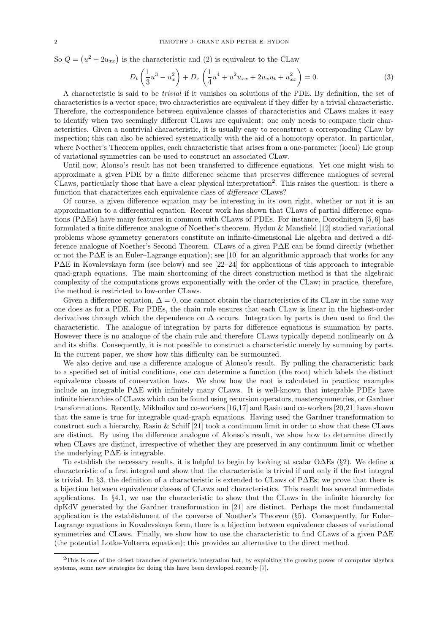So  $Q = (u^2 + 2u_{xx})$  is the characteristic and (2) is equivalent to the CLaw

$$
D_t\left(\frac{1}{3}u^3 - u_x^2\right) + D_x\left(\frac{1}{4}u^4 + u^2u_{xx} + 2u_xu_t + u_{xx}^2\right) = 0.
$$
 (3)

A characteristic is said to be trivial if it vanishes on solutions of the PDE. By definition, the set of characteristics is a vector space; two characteristics are equivalent if they differ by a trivial characteristic. Therefore, the correspondence between equivalence classes of characteristics and CLaws makes it easy to identify when two seemingly different CLaws are equivalent: one only needs to compare their characteristics. Given a nontrivial characteristic, it is usually easy to reconstruct a corresponding CLaw by inspection; this can also be achieved systematically with the aid of a homotopy operator. In particular, where Noether's Theorem applies, each characteristic that arises from a one-parameter (local) Lie group of variational symmetries can be used to construct an associated CLaw.

Until now, Alonso's result has not been transferred to difference equations. Yet one might wish to approximate a given PDE by a finite difference scheme that preserves difference analogues of several CLaws, particularly those that have a clear physical interpretation<sup>2</sup> . This raises the question: is there a function that characterizes each equivalence class of difference CLaws?

Of course, a given difference equation may be interesting in its own right, whether or not it is an approximation to a differential equation. Recent work has shown that CLaws of partial difference equations (P∆Es) have many features in common with CLaws of PDEs. For instance, Dorodnitsyn [5, 6] has formulated a finite difference analogue of Noether's theorem. Hydon & Mansfield [12] studied variational problems whose symmetry generators constitute an infinite-dimensional Lie algebra and derived a difference analogue of Noether's Second Theorem. CLaws of a given P∆E can be found directly (whether or not the P∆E is an Euler–Lagrange equation); see [10] for an algorithmic approach that works for any P∆E in Kovalevskaya form (see below) and see [22–24] for applications of this approach to integrable quad-graph equations. The main shortcoming of the direct construction method is that the algebraic complexity of the computations grows exponentially with the order of the CLaw; in practice, therefore, the method is restricted to low-order CLaws.

Given a difference equation,  $\Delta = 0$ , one cannot obtain the characteristics of its CLaw in the same way one does as for a PDE. For PDEs, the chain rule ensures that each CLaw is linear in the highest-order derivatives through which the dependence on  $\Delta$  occurs. Integration by parts is then used to find the characteristic. The analogue of integration by parts for difference equations is summation by parts. However there is no analogue of the chain rule and therefore CLaws typically depend nonlinearly on  $\Delta$ and its shifts. Consequently, it is not possible to construct a characteristic merely by summing by parts. In the current paper, we show how this difficulty can be surmounted.

We also derive and use a difference analogue of Alonso's result. By pulling the characteristic back to a specified set of initial conditions, one can determine a function (the root) which labels the distinct equivalence classes of conservation laws. We show how the root is calculated in practice; examples include an integrable P∆E with infinitely many CLaws. It is well-known that integrable PDEs have infinite hierarchies of CLaws which can be found using recursion operators, mastersymmetries, or Gardner transformations. Recently, Mikhailov and co-workers [16,17] and Rasin and co-workers [20,21] have shown that the same is true for integrable quad-graph equations. Having used the Gardner transformation to construct such a hierarchy, Rasin & Schiff [21] took a continuum limit in order to show that these CLaws are distinct. By using the difference analogue of Alonso's result, we show how to determine directly when CLaws are distinct, irrespective of whether they are preserved in any continuum limit or whether the underlying P∆E is integrable.

To establish the necessary results, it is helpful to begin by looking at scalar O∆Es (§2). We define a characteristic of a first integral and show that the characteristic is trivial if and only if the first integral is trivial. In §3, the definition of a characteristic is extended to CLaws of P∆Es; we prove that there is a bijection between equivalence classes of CLaws and characteristics. This result has several immediate applications. In §4.1, we use the characteristic to show that the CLaws in the infinite hierarchy for dpKdV generated by the Gardner transformation in [21] are distinct. Perhaps the most fundamental application is the establishment of the converse of Noether's Theorem (§5). Consequently, for Euler– Lagrange equations in Kovalevskaya form, there is a bijection between equivalence classes of variational symmetries and CLaws. Finally, we show how to use the characteristic to find CLaws of a given P∆E (the potential Lotka-Volterra equation); this provides an alternative to the direct method.

<sup>2</sup>This is one of the oldest branches of geometric integration but, by exploiting the growing power of computer algebra systems, some new strategies for doing this have been developed recently [7].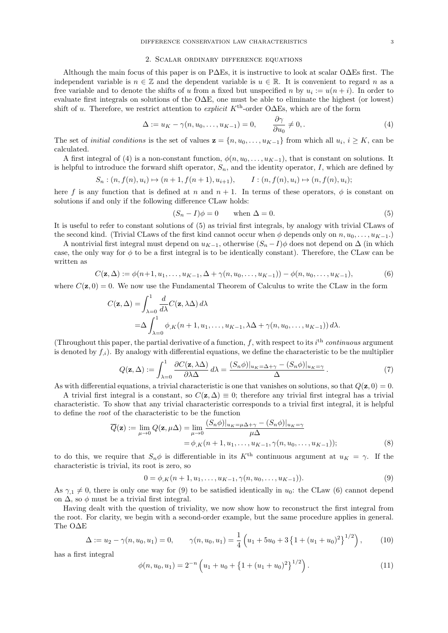#### 2. Scalar ordinary difference equations

Although the main focus of this paper is on P∆Es, it is instructive to look at scalar O∆Es first. The independent variable is  $n \in \mathbb{Z}$  and the dependent variable is  $u \in \mathbb{R}$ . It is convenient to regard n as a free variable and to denote the shifts of u from a fixed but unspecified n by  $u_i := u(n+i)$ . In order to evaluate first integrals on solutions of the O∆E, one must be able to eliminate the highest (or lowest) shift of u. Therefore, we restrict attention to *explicit* K<sup>th</sup>-order O $\Delta$ Es, which are of the form

$$
\Delta := u_K - \gamma(n, u_0, \dots, u_{K-1}) = 0, \qquad \frac{\partial \gamma}{\partial u_0} \neq 0, \qquad (4)
$$

The set of *initial conditions* is the set of values  $\mathbf{z} = \{n, u_0, \dots, u_{K-1}\}$  from which all  $u_i, i \geq K$ , can be calculated.

A first integral of (4) is a non-constant function,  $\phi(n, u_0, \ldots, u_{K-1})$ , that is constant on solutions. It is helpful to introduce the forward shift operator,  $S_n$ , and the identity operator, I, which are defined by

$$
S_n : (n, f(n), u_i) \mapsto (n + 1, f(n + 1), u_{i+1}), \qquad I : (n, f(n), u_i) \mapsto (n, f(n), u_i);
$$

here f is any function that is defined at n and  $n + 1$ . In terms of these operators,  $\phi$  is constant on solutions if and only if the following difference CLaw holds:

$$
(S_n - I)\phi = 0 \qquad \text{when } \Delta = 0. \tag{5}
$$

It is useful to refer to constant solutions of (5) as trivial first integrals, by analogy with trivial CLaws of the second kind. (Trivial CLaws of the first kind cannot occur when  $\phi$  depends only on  $n, u_0, \ldots, u_{K-1}$ .)

A nontrivial first integral must depend on  $u_{K-1}$ , otherwise  $(S_n-I)\phi$  does not depend on  $\Delta$  (in which case, the only way for  $\phi$  to be a first integral is to be identically constant). Therefore, the CLaw can be written as

$$
C(\mathbf{z}, \Delta) := \phi(n+1, u_1, \dots, u_{K-1}, \Delta + \gamma(n, u_0, \dots, u_{K-1})) - \phi(n, u_0, \dots, u_{K-1}),
$$
(6)

where  $C(\mathbf{z}, 0) = 0$ . We now use the Fundamental Theorem of Calculus to write the CLaw in the form

$$
C(\mathbf{z}, \Delta) = \int_{\lambda=0}^{1} \frac{d}{d\lambda} C(\mathbf{z}, \lambda \Delta) d\lambda
$$
  
=  $\Delta \int_{\lambda=0}^{1} \phi_{,K}(n+1, u_1, \dots, u_{K-1}, \lambda \Delta + \gamma(n, u_0, \dots, u_{K-1})) d\lambda.$ 

(Throughout this paper, the partial derivative of a function,  $f$ , with respect to its  $i<sup>th</sup>$  continuous argument is denoted by  $f_{i}$ ). By analogy with differential equations, we define the characteristic to be the multiplier

$$
Q(\mathbf{z}, \Delta) := \int_{\lambda=0}^{1} \frac{\partial C(\mathbf{z}, \lambda \Delta)}{\partial \lambda \Delta} d\lambda = \frac{(S_n \phi)|_{u_K = \Delta + \gamma} - (S_n \phi)|_{u_K = \gamma}}{\Delta}.
$$
 (7)

As with differential equations, a trivial characteristic is one that vanishes on solutions, so that  $Q(\mathbf{z}, 0) = 0$ .

A trivial first integral is a constant, so  $C(\mathbf{z}, \Delta) \equiv 0$ ; therefore any trivial first integral has a trivial characteristic. To show that any trivial characteristic corresponds to a trivial first integral, it is helpful to define the root of the characteristic to be the function

$$
\overline{Q}(\mathbf{z}) := \lim_{\mu \to 0} Q(\mathbf{z}, \mu \Delta) = \lim_{\mu \to 0} \frac{(S_n \phi)|_{u_K = \mu \Delta + \gamma} - (S_n \phi)|_{u_K = \gamma}}{\mu \Delta}
$$
  
=  $\phi_{,K}(n+1, u_1, \dots, u_{K-1}, \gamma(n, u_0, \dots, u_{K-1}));$  (8)

to do this, we require that  $S_n \phi$  is differentiable in its K<sup>th</sup> continuous argument at  $u_K = \gamma$ . If the characteristic is trivial, its root is zero, so

$$
0 = \phi_{,K}(n+1, u_1, \dots, u_{K-1}, \gamma(n, u_0, \dots, u_{K-1})).
$$
\n(9)

As  $\gamma_{1} \neq 0$ , there is only one way for (9) to be satisfied identically in  $u_{0}$ : the CLaw (6) cannot depend on  $\Delta$ , so  $\phi$  must be a trivial first integral.

Having dealt with the question of triviality, we now show how to reconstruct the first integral from the root. For clarity, we begin with a second-order example, but the same procedure applies in general. The O∆E

$$
\Delta := u_2 - \gamma(n, u_0, u_1) = 0, \qquad \gamma(n, u_0, u_1) = \frac{1}{4} \left( u_1 + 5u_0 + 3 \left\{ 1 + (u_1 + u_0)^2 \right\}^{1/2} \right), \tag{10}
$$

has a first integral

$$
\phi(n, u_0, u_1) = 2^{-n} \left( u_1 + u_0 + \left\{ 1 + (u_1 + u_0)^2 \right\}^{1/2} \right). \tag{11}
$$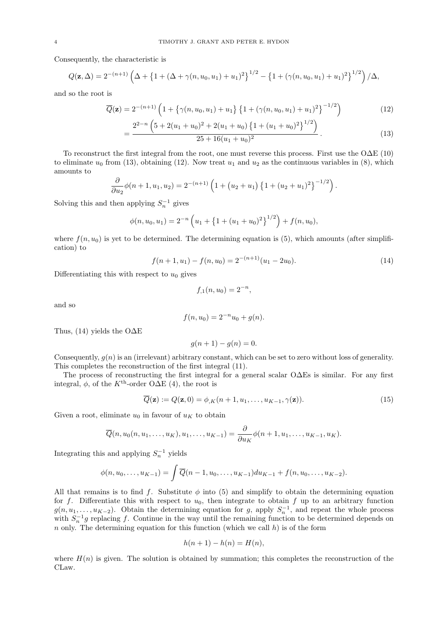Consequently, the characteristic is

$$
Q(\mathbf{z}, \Delta) = 2^{-(n+1)} \left( \Delta + \left\{ 1 + (\Delta + \gamma(n, u_0, u_1) + u_1)^2 \right\}^{1/2} - \left\{ 1 + (\gamma(n, u_0, u_1) + u_1)^2 \right\}^{1/2} \right) / \Delta,
$$

and so the root is

$$
\overline{Q}(\mathbf{z}) = 2^{-(n+1)} \left( 1 + \left\{ \gamma(n, u_0, u_1) + u_1 \right\} \left\{ 1 + \left( \gamma(n, u_0, u_1) + u_1 \right)^2 \right\}^{-1/2} \right) \tag{12}
$$

$$
=\frac{2^{2-n}\left(5+2(u_1+u_0)^2+2(u_1+u_0)\left\{1+(u_1+u_0)^2\right\}^{1/2}\right)}{25+16(u_1+u_0)^2}.
$$
\n(13)

To reconstruct the first integral from the root, one must reverse this process. First use the O∆E (10) to eliminate  $u_0$  from (13), obtaining (12). Now treat  $u_1$  and  $u_2$  as the continuous variables in (8), which amounts to

$$
\frac{\partial}{\partial u_2}\phi(n+1, u_1, u_2) = 2^{-(n+1)}\left(1 + (u_2 + u_1)\left\{1 + (u_2 + u_1)^2\right\}^{-1/2}\right).
$$

Solving this and then applying  $S_n^{-1}$  gives

=

$$
\phi(n, u_0, u_1) = 2^{-n} \left( u_1 + \left\{ 1 + (u_1 + u_0)^2 \right\}^{1/2} \right) + f(n, u_0),
$$

where  $f(n, u_0)$  is yet to be determined. The determining equation is (5), which amounts (after simplification) to

$$
f(n+1, u1) - f(n, u0) = 2^{-(n+1)}(u1 - 2u0).
$$
\n(14)

Differentiating this with respect to  $u_0$  gives

$$
f_{,1}(n, u_0) = 2^{-n},
$$

and so

$$
f(n, u_0) = 2^{-n}u_0 + g(n).
$$

Thus, (14) yields the O $\Delta E$ 

$$
g(n+1) - g(n) = 0.
$$

Consequently,  $g(n)$  is an (irrelevant) arbitrary constant, which can be set to zero without loss of generality. This completes the reconstruction of the first integral (11).

The process of reconstructing the first integral for a general scalar O∆Es is similar. For any first integral,  $\phi$ , of the K<sup>th</sup>-order O $\Delta E$  (4), the root is

$$
\overline{Q}(\mathbf{z}) := Q(\mathbf{z}, 0) = \phi_{,K}(n+1, u_1, \dots, u_{K-1}, \gamma(\mathbf{z})).
$$
\n(15)

Given a root, eliminate  $u_0$  in favour of  $u_K$  to obtain

$$
\overline{Q}(n, u_0(n, u_1, \dots, u_K), u_1, \dots, u_{K-1}) = \frac{\partial}{\partial u_K} \phi(n+1, u_1, \dots, u_{K-1}, u_K).
$$

Integrating this and applying  $S_n^{-1}$  yields

$$
\phi(n, u_0, \dots, u_{K-1}) = \int \overline{Q}(n-1, u_0, \dots, u_{K-1}) du_{K-1} + f(n, u_0, \dots, u_{K-2}).
$$

All that remains is to find f. Substitute  $\phi$  into (5) and simplify to obtain the determining equation for f. Differentiate this with respect to  $u_0$ , then integrate to obtain f up to an arbitrary function  $g(n, u_1, \ldots, u_{K-2})$ . Obtain the determining equation for g, apply  $S_n^{-1}$ , and repeat the whole process with  $S_n^{-1}g$  replacing f. Continue in the way until the remaining function to be determined depends on n only. The determining equation for this function (which we call  $h$ ) is of the form

$$
h(n+1) - h(n) = H(n),
$$

where  $H(n)$  is given. The solution is obtained by summation; this completes the reconstruction of the CLaw.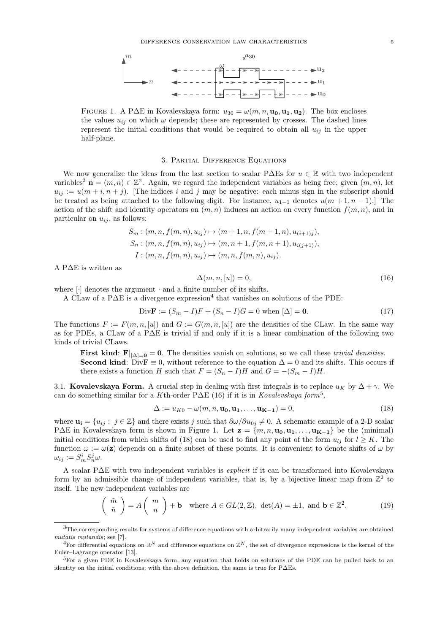

FIGURE 1. A P∆E in Kovalevskaya form:  $u_{30} = \omega(m, n, \mathbf{u_0}, \mathbf{u_1}, \mathbf{u_2})$ . The box encloses the values  $u_{ij}$  on which  $\omega$  depends; these are represented by crosses. The dashed lines represent the initial conditions that would be required to obtain all  $u_{ij}$  in the upper half-plane.

#### 3. Partial Difference Equations

We now generalize the ideas from the last section to scalar P $\Delta \text{Es}$  for  $u \in \mathbb{R}$  with two independent variables<sup>3</sup>  $\mathbf{n} = (m, n) \in \mathbb{Z}^2$ . Again, we regard the independent variables as being free; given  $(m, n)$ , let  $u_{ii} := u(m+i, n+j)$ . [The indices i and j may be negative: each minus sign in the subscript should be treated as being attached to the following digit. For instance,  $u_{1-1}$  denotes  $u(m + 1, n - 1)$ . The action of the shift and identity operators on  $(m, n)$  induces an action on every function  $f(m, n)$ , and in particular on  $u_{ij}$ , as follows:

$$
S_m: (m, n, f(m, n), u_{ij}) \mapsto (m + 1, n, f(m + 1, n), u_{(i+1)j}),
$$
  
\n
$$
S_n: (m, n, f(m, n), u_{ij}) \mapsto (m, n + 1, f(m, n + 1), u_{i(j+1)}),
$$
  
\n
$$
I: (m, n, f(m, n), u_{ij}) \mapsto (m, n, f(m, n), u_{ij}).
$$

A P∆E is written as

$$
\Delta(m, n, [u]) = 0,\t\t(16)
$$

where [·] denotes the argument · and a finite number of its shifts.

A CLaw of a P $\Delta E$  is a divergence expression<sup>4</sup> that vanishes on solutions of the PDE:

Div**F** := 
$$
(S_m - I)F + (S_n - I)G = 0
$$
 when  $[\Delta] = 0$ . (17)

The functions  $F := F(m, n, [u])$  and  $G := G(m, n, [u])$  are the densities of the CLaw. In the same way as for PDEs, a CLaw of a P∆E is trivial if and only if it is a linear combination of the following two kinds of trivial CLaws.

First kind: F| $_{[\Delta]=0} = 0$ . The densities vanish on solutions, so we call these *trivial densities*. **Second kind:** Div $\mathbf{F} \equiv 0$ , without reference to the equation  $\Delta = 0$  and its shifts. This occurs if there exists a function H such that  $F = (S_n - I)H$  and  $G = -(S_m - I)H$ .

3.1. Kovalevskaya Form. A crucial step in dealing with first integrals is to replace  $u_K$  by  $\Delta + \gamma$ . We can do something similar for a Kth-order P $\Delta E$  (16) if it is in Kovalevskaya form<sup>5</sup>,

$$
\Delta := u_{K0} - \omega(m, n, \mathbf{u_0}, \mathbf{u_1}, \dots, \mathbf{u_{K-1}}) = 0,
$$
\n(18)

where  $\mathbf{u_i} = \{u_{ij} : j \in \mathbb{Z}\}\$  and there exists j such that  $\partial \omega / \partial u_{0j} \neq 0$ . A schematic example of a 2-D scalar P∆E in Kovalevskaya form is shown in Figure 1. Let  $\mathbf{z} = \{m, n, \mathbf{u_0}, \mathbf{u_1}, \dots, \mathbf{u_{K-1}}\}$  be the (minimal) initial conditions from which shifts of (18) can be used to find any point of the form  $u_{ij}$  for  $l \geq K$ . The function  $\omega := \omega(\mathbf{z})$  depends on a finite subset of these points. It is convenient to denote shifts of  $\omega$  by  $\omega_{ij} := S_m^i S_n^j \omega.$ 

A scalar P∆E with two independent variables is explicit if it can be transformed into Kovalevskaya form by an admissible change of independent variables, that is, by a bijective linear map from  $\mathbb{Z}^2$  to itself. The new independent variables are

$$
\begin{pmatrix} \tilde{m} \\ \tilde{n} \end{pmatrix} = A \begin{pmatrix} m \\ n \end{pmatrix} + \mathbf{b} \quad \text{where } A \in GL(2, \mathbb{Z}), \text{ det}(A) = \pm 1, \text{ and } \mathbf{b} \in \mathbb{Z}^2.
$$
 (19)

<sup>3</sup>The corresponding results for systems of difference equations with arbitrarily many independent variables are obtained mutatis mutandis; see [7].

<sup>&</sup>lt;sup>4</sup>For differential equations on  $\mathbb{R}^N$  and difference equations on  $\mathbb{Z}^N$ , the set of divergence expressions is the kernel of the Euler–Lagrange operator [13].

<sup>&</sup>lt;sup>5</sup>For a given PDE in Kovalevskaya form, any equation that holds on solutions of the PDE can be pulled back to an identity on the initial conditions; with the above definition, the same is true for P∆Es.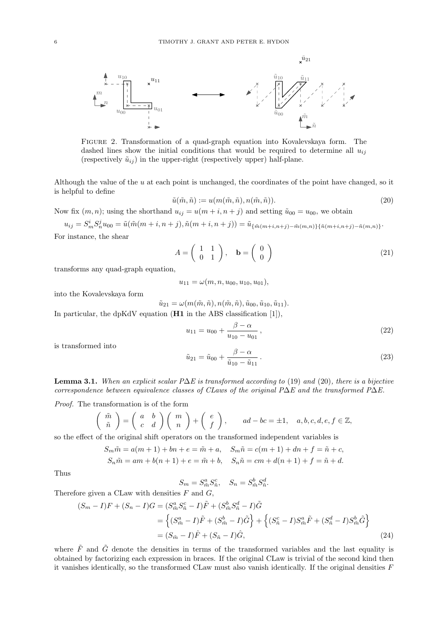

Figure 2. Transformation of a quad-graph equation into Kovalevskaya form. The dashed lines show the initial conditions that would be required to determine all  $u_{ij}$ (respectively  $\tilde{u}_{ij}$ ) in the upper-right (respectively upper) half-plane.

Although the value of the u at each point is unchanged, the coordinates of the point have changed, so it is helpful to define

$$
\tilde{u}(\tilde{m}, \tilde{n}) := u(m(\tilde{m}, \tilde{n}), n(\tilde{m}, \tilde{n})).
$$
\n(20)

Now fix  $(m, n)$ ; using the shorthand  $u_{ij} = u(m + i, n + j)$  and setting  $\tilde{u}_{00} = u_{00}$ , we obtain

 $u_{ij} = S_m^i S_n^j u_{00} = \tilde{u}(\tilde{m}(m+i, n+j), \tilde{n}(m+i, n+j)) = \tilde{u}_{\{\tilde{m}(m+i, n+j) - \tilde{m}(m,n)\}\{\tilde{n}(m+i, n+j) - \tilde{n}(m,n)\}}.$ For instance, the shear

$$
A = \begin{pmatrix} 1 & 1 \\ 0 & 1 \end{pmatrix}, \quad \mathbf{b} = \begin{pmatrix} 0 \\ 0 \end{pmatrix}
$$
 (21)

transforms any quad-graph equation,

 $u_{11} = \omega(m, n, u_{00}, u_{10}, u_{01}),$ 

into the Kovalevskaya form

 $\tilde{u}_{21} = \omega(m(\tilde{m}, \tilde{n}), n(\tilde{m}, \tilde{n}), \tilde{u}_{00}, \tilde{u}_{10}, \tilde{u}_{11}).$ 

In particular, the dpKdV equation (**H1** in the ABS classification [1]),

$$
u_{11} = u_{00} + \frac{\beta - \alpha}{u_{10} - u_{01}},
$$
\n(22)

is transformed into

$$
\tilde{u}_{21} = \tilde{u}_{00} + \frac{\beta - \alpha}{\tilde{u}_{10} - \tilde{u}_{11}}.
$$
\n(23)

**Lemma 3.1.** When an explicit scalar P∆E is transformed according to (19) and (20), there is a bijective correspondence between equivalence classes of CLaws of the original P∆E and the transformed P∆E.

Proof. The transformation is of the form

$$
\begin{pmatrix} \tilde{m} \\ \tilde{n} \end{pmatrix} = \begin{pmatrix} a & b \\ c & d \end{pmatrix} \begin{pmatrix} m \\ n \end{pmatrix} + \begin{pmatrix} e \\ f \end{pmatrix}, \quad ad - bc = \pm 1, \quad a, b, c, d, e, f \in \mathbb{Z},
$$

so the effect of the original shift operators on the transformed independent variables is

$$
S_m \tilde{m} = a(m+1) + bn + e = \tilde{m} + a, \quad S_m \tilde{n} = c(m+1) + dn + f = \tilde{n} + c,
$$

$$
S_n \tilde{m} = am + b(n+1) + e = \tilde{m} + b, \quad S_n \tilde{n} = cm + d(n+1) + f = \tilde{n} + d.
$$

Thus

$$
S_m = S_{\tilde{m}}^a S_{\tilde{n}}^c, \quad S_n = S_{\tilde{m}}^b S_{\tilde{n}}^d.
$$

Therefore given a CLaw with densities  $F$  and  $G$ ,

$$
(S_m - I)F + (S_n - I)G = (S_{\tilde{m}}^a S_{\tilde{n}}^c - I)\tilde{F} + (S_{\tilde{m}}^b S_{\tilde{n}}^d - I)\tilde{G}
$$
  
=  $\left\{ (S_{\tilde{m}}^a - I)\tilde{F} + (S_{\tilde{m}}^b - I)\tilde{G} \right\} + \left\{ (S_{\tilde{n}}^c - I)S_{\tilde{m}}^a \tilde{F} + (S_{\tilde{n}}^d - I)S_{\tilde{m}}^b \tilde{G} \right\}$   
=  $(S_{\tilde{m}} - I)\tilde{F} + (S_{\tilde{n}} - I)\hat{G},$  (24)

where  $\tilde{F}$  and  $\tilde{G}$  denote the densities in terms of the transformed variables and the last equality is obtained by factorizing each expression in braces. If the original CLaw is trivial of the second kind then it vanishes identically, so the transformed CLaw must also vanish identically. If the original densities  $F$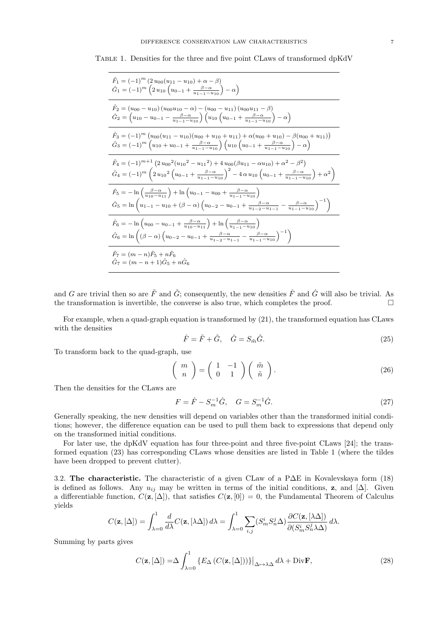Table 1. Densities for the three and five point CLaws of transformed dpKdV

$$
\hat{F}_1 = (-1)^m (2 u_{00}(u_{11} - u_{10}) + \alpha - \beta)
$$
\n
$$
\hat{G}_1 = (-1)^m (2 u_{10} (u_{0-1} + \frac{\beta - \alpha}{u_{1-1} - u_{10}}) - \alpha)
$$
\n
$$
\hat{F}_2 = (u_{00} - u_{10}) (u_{00} u_{10} - \alpha) - (u_{00} - u_{11}) (u_{00} u_{11} - \beta)
$$
\n
$$
\hat{G}_2 = (u_{10} - u_{0-1} - \frac{\beta - \alpha}{u_{1-1} - u_{10}}) (u_{10} (u_{0-1} + \frac{\beta - \alpha}{u_{1-1} - u_{10}}) - \alpha)
$$
\n
$$
\hat{F}_3 = (-1)^m (u_{00} (u_{11} - u_{10}) (u_{00} + u_{10} + u_{11}) + \alpha (u_{00} + u_{10}) - \beta (u_{00} + u_{11}))
$$
\n
$$
\hat{G}_3 = (-1)^m (u_{10} + u_{0-1} + \frac{\beta - \alpha}{u_{1-1} - u_{10}}) (u_{10} (u_{0-1} + \frac{\beta - \alpha}{u_{1-1} - u_{10}}) - \alpha)
$$
\n
$$
\hat{F}_4 = (-1)^{m+1} (2 u_{00}^2 (u_{10}^2 - u_{11}^2) + 4 u_{00} (\beta u_{11} - \alpha u_{10}) + \alpha^2 - \beta^2)
$$
\n
$$
\hat{G}_4 = (-1)^m (2 u_{10}^2 (u_{0-1} + \frac{\beta - \alpha}{u_{1-1} - u_{10}})^2 - 4 \alpha u_{10} (u_{0-1} + \frac{\beta - \alpha}{u_{1-1} - u_{10}}) + \alpha^2)
$$
\n
$$
\hat{F}_5 = -\ln \left(\frac{\beta - \alpha}{u_{10} - u_{11}}\right) + \ln (u_{0-1} - u_{00} + \frac{\beta - \alpha}{u_{1-1} - u_{10}})
$$
\n
$$
\hat{G}_5 = \ln (u_{1-1} - u_{10} + (\beta - \alpha) (u_{0-2} - u_{0-1} + \frac{\beta - \alpha}{u
$$

and G are trivial then so are  $\tilde{F}$  and  $\tilde{G}$ ; consequently, the new densities  $\hat{F}$  and  $\hat{G}$  will also be trivial. As the transformation is invertible, the converse is also true, which completes the proof.  $\Box$ 

For example, when a quad-graph equation is transformed by (21), the transformed equation has CLaws with the densities

$$
\hat{F} = \tilde{F} + \tilde{G}, \quad \hat{G} = S_{\tilde{m}}\tilde{G}.
$$
\n(25)

To transform back to the quad-graph, use

$$
\left(\begin{array}{c} m \\ n \end{array}\right) = \left(\begin{array}{cc} 1 & -1 \\ 0 & 1 \end{array}\right) \left(\begin{array}{c} \tilde{m} \\ \tilde{n} \end{array}\right). \tag{26}
$$

Then the densities for the CLaws are

$$
F = \hat{F} - S_m^{-1}\hat{G}, \quad G = S_m^{-1}\hat{G}.
$$
 (27)

Generally speaking, the new densities will depend on variables other than the transformed initial conditions; however, the difference equation can be used to pull them back to expressions that depend only on the transformed initial conditions.

For later use, the dpKdV equation has four three-point and three five-point CLaws [24]; the transformed equation (23) has corresponding CLaws whose densities are listed in Table 1 (where the tildes have been dropped to prevent clutter).

3.2. The characteristic. The characteristic of a given CLaw of a P∆E in Kovalevskaya form (18) is defined as follows. Any  $u_{ij}$  may be written in terms of the initial conditions, z, and [ $\Delta$ ]. Given a differentiable function,  $C(\mathbf{z}, [\Delta])$ , that satisfies  $C(\mathbf{z}, [0]) = 0$ , the Fundamental Theorem of Calculus yields

$$
C(\mathbf{z}, [\Delta]) = \int_{\lambda=0}^{1} \frac{d}{d\lambda} C(\mathbf{z}, [\lambda \Delta]) d\lambda = \int_{\lambda=0}^{1} \sum_{i,j} (S_m^i S_n^j \Delta) \frac{\partial C(\mathbf{z}, [\lambda \Delta])}{\partial (S_m^i S_n^j \lambda \Delta)} d\lambda.
$$

Summing by parts gives

$$
C(\mathbf{z}, [\Delta]) = \Delta \int_{\lambda=0}^{1} \left\{ E_{\Delta} \left( C(\mathbf{z}, [\Delta]) \right) \right\} \big|_{\Delta \mapsto \lambda \Delta} d\lambda + \text{Div}\mathbf{F},
$$
\n(28)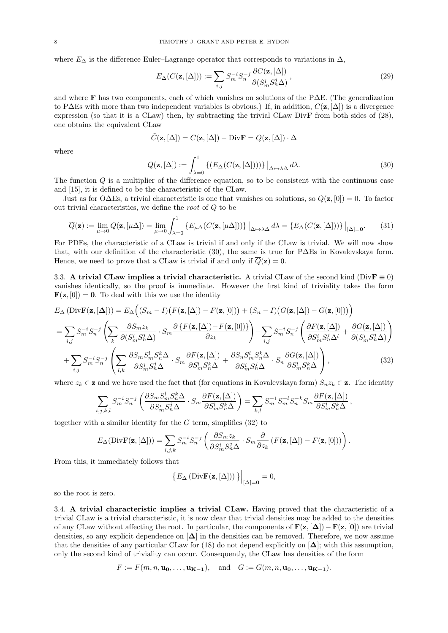where  $E_{\Delta}$  is the difference Euler–Lagrange operator that corresponds to variations in  $\Delta$ ,

$$
E_{\Delta}(C(\mathbf{z}, [\Delta])) := \sum_{i,j} S_m^{-i} S_n^{-j} \frac{\partial C(\mathbf{z}, [\Delta])}{\partial (S_m^i S_n^j \Delta)},
$$
\n(29)

and where F has two components, each of which vanishes on solutions of the P∆E. (The generalization to P∆Es with more than two independent variables is obvious.) If, in addition,  $C(\mathbf{z}, \Delta)$  is a divergence expression (so that it is a CLaw) then, by subtracting the trivial CLaw DivF from both sides of (28), one obtains the equivalent CLaw

$$
\tilde{C}(\mathbf{z},[\Delta])=C(\mathbf{z},[\Delta])-\text{Div}\mathbf{F}=Q(\mathbf{z},[\Delta])\cdot\Delta
$$

where

$$
Q(\mathbf{z}, [\Delta]) := \int_{\lambda=0}^{1} \left\{ (E_{\Delta}(C(\mathbf{z}, [\Delta]))) \} \Big|_{\Delta \mapsto \lambda \Delta} d\lambda. \right\} \tag{30}
$$

,

The function Q is a multiplier of the difference equation, so to be consistent with the continuous case and [15], it is defined to be the characteristic of the CLaw.

Just as for O $\Delta$ Es, a trivial characteristic is one that vanishes on solutions, so  $Q(\mathbf{z}, [0]) = 0$ . To factor out trivial characteristics, we define the root of Q to be

$$
\overline{Q}(\mathbf{z}) := \lim_{\mu \to 0} Q(\mathbf{z}, [\mu \Delta]) = \lim_{\mu \to 0} \int_{\lambda = 0}^{1} \left\{ E_{\mu \Delta} (C(\mathbf{z}, [\mu \Delta])) \right\} \Big|_{\Delta \mapsto \lambda \Delta} d\lambda = \left\{ E_{\Delta} (C(\mathbf{z}, [\Delta])) \right\} \Big|_{[\Delta] = 0}.
$$
 (31)

For PDEs, the characteristic of a CLaw is trivial if and only if the CLaw is trivial. We will now show that, with our definition of the characteristic (30), the same is true for P∆Es in Kovalevskaya form. Hence, we need to prove that a CLaw is trivial if and only if  $\overline{Q}(\mathbf{z}) = 0$ .

3.3. A trivial CLaw implies a trivial characteristic. A trivial CLaw of the second kind (DivF  $\equiv$  0) vanishes identically, so the proof is immediate. However the first kind of triviality takes the form **. To deal with this we use the identity** 

$$
E_{\Delta} (\text{Div}\mathbf{F}(\mathbf{z}, [\Delta])) = E_{\Delta} ((S_m - I) (F(\mathbf{z}, [\Delta]) - F(\mathbf{z}, [0])) + (S_n - I) (G(\mathbf{z}, [\Delta]) - G(\mathbf{z}, [0])) )
$$
  
\n
$$
= \sum_{i,j} S_m^{-i} S_n^{-j} \left( \sum_k \frac{\partial S_m z_k}{\partial (S_m^i S_n^j \Delta)} \cdot S_m \frac{\partial \{ F(\mathbf{z}, [\Delta]) - F(\mathbf{z}, [0]) \}}{\partial z_k} \right) - \sum_{i,j} S_m^{-i} S_n^{-j} \left( \frac{\partial F(\mathbf{z}, [\Delta])}{\partial S_m^i S_n^j \Delta^l} + \frac{\partial G(\mathbf{z}, [\Delta])}{\partial (S_m^i S_n^j \Delta)} \right)
$$
  
\n
$$
+ \sum_{i,j} S_m^{-i} S_n^{-j} \left( \sum_{l,k} \frac{\partial S_m S_m^l S_n^k \Delta}{\partial S_m^i S_n^j \Delta} \cdot S_m \frac{\partial F(\mathbf{z}, [\Delta])}{\partial S_m^l S_n^k \Delta} + \frac{\partial S_n S_m^l S_n^k \Delta}{\partial S_m^i S_n^j \Delta} \cdot S_n \frac{\partial G(\mathbf{z}, [\Delta])}{\partial S_m^l S_n^k \Delta} \right), \tag{32}
$$

where  $z_k \in \mathbf{z}$  and we have used the fact that (for equations in Kovalevskaya form)  $S_n z_k \in \mathbf{z}$ . The identity

$$
\sum_{i,j,k,l} S_m^{-i} S_n^{-j} \left( \frac{\partial S_m S_m^l S_n^k \Delta}{\partial S_m^i S_n^j \Delta} \cdot S_m \frac{\partial F(\mathbf{z}, [\Delta])}{\partial S_m^l S_n^k \Delta} \right) = \sum_{k,l} S_m^{-1} S_m^{-l} S_n^{-k} S_m \frac{\partial F(\mathbf{z}, [\Delta])}{\partial S_m^l S_n^k \Delta}
$$

together with a similar identity for the  $G$  term, simplifies  $(32)$  to

$$
E_{\Delta}(\text{Div}\mathbf{F}(\mathbf{z}, [\Delta])) = \sum_{i,j,k} S_m^{-i} S_n^{-j} \left( \frac{\partial S_m z_k}{\partial S_m^i S_n^j \Delta} \cdot S_m \frac{\partial}{\partial z_k} \left( F(\mathbf{z}, [\Delta]) - F(\mathbf{z}, [0]) \right) \right).
$$

From this, it immediately follows that

$$
\left\{ E_{\Delta} \left( \text{Div}\mathbf{F}(\mathbf{z}, [\Delta]) \right) \right\} \Big|_{[\Delta]=\mathbf{0}} = 0,
$$

so the root is zero.

3.4. A trivial characteristic implies a trivial CLaw. Having proved that the characteristic of a trivial CLaw is a trivial characteristic, it is now clear that trivial densities may be added to the densities of any CLaw without affecting the root. In particular, the components of  $\mathbf{F}(\mathbf{z}, [\Delta]) - \mathbf{F}(\mathbf{z}, [0])$  are trivial densities, so any explicit dependence on  $[\Delta]$  in the densities can be removed. Therefore, we now assume that the densities of any particular CLaw for (18) do not depend explicitly on  $[\Delta]$ ; with this assumption, only the second kind of triviality can occur. Consequently, the CLaw has densities of the form

$$
F := F(m, n, \mathbf{u_0}, \dots, \mathbf{u_{K-1}}), \quad \text{and} \quad G := G(m, n, \mathbf{u_0}, \dots, \mathbf{u_{K-1}}).
$$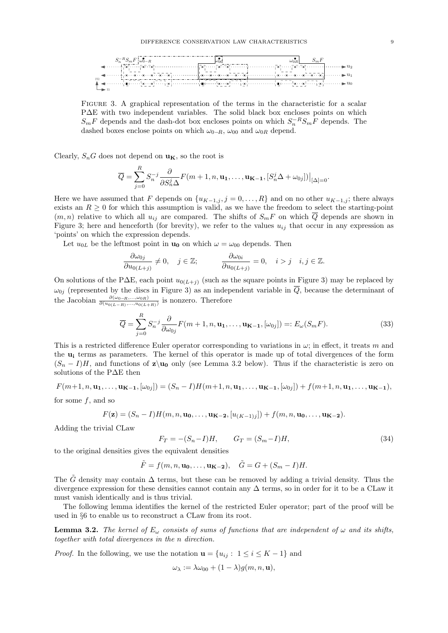

Figure 3. A graphical representation of the terms in the characteristic for a scalar P∆E with two independent variables. The solid black box encloses points on which  $S_mF$  depends and the dash-dot box encloses points on which  $S_n^{-R}S_mF$  depends. The dashed boxes enclose points on which  $\omega_{0-R}$ ,  $\omega_{00}$  and  $\omega_{0R}$  depend.

Clearly,  $S_nG$  does not depend on  $\mathbf{u}_\mathbf{K}$ , so the root is

$$
\overline{Q} = \sum_{j=0}^{R} S_n^{-j} \frac{\partial}{\partial S_n^j \Delta} F(m+1, n, \mathbf{u_1}, \dots, \mathbf{u_{K-1}}, [S_n^j \Delta + \omega_{0j}]) \Big|_{[\Delta]=0}.
$$

Here we have assumed that F depends on  $\{u_{K-1,j}, j=0,\ldots,R\}$  and on no other  $u_{K-1,j}$ ; there always exists an  $R \geq 0$  for which this assumption is valid, as we have the freedom to select the starting-point  $(m, n)$  relative to which all  $u_{ij}$  are compared. The shifts of  $S_mF$  on which  $\overline{Q}$  depends are shown in Figure 3; here and henceforth (for brevity), we refer to the values  $u_{ij}$  that occur in any expression as 'points' on which the expression depends.

Let  $u_{0L}$  be the leftmost point in  $\mathbf{u}_0$  on which  $\omega = \omega_{00}$  depends. Then

$$
\frac{\partial \omega_{0j}}{\partial u_{0(L+j)}} \neq 0, \quad j \in \mathbb{Z}; \qquad \frac{\partial \omega_{0i}}{\partial u_{0(L+j)}} = 0, \quad i > j \quad i, j \in \mathbb{Z}.
$$

On solutions of the P $\Delta E$ , each point  $u_{0(L+j)}$  (such as the square points in Figure 3) may be replaced by  $\omega_{0j}$  (represented by the discs in Figure 3) as an independent variable in  $\overline{Q}$ , because the determinant of the Jacobian  $\frac{\partial(\omega_{0-R},...,\omega_{0R})}{\partial(u_{0(L-R)},...,u_{0(L+R)})}$  is nonzero. Therefore

$$
\overline{Q} = \sum_{j=0}^{R} S_n^{-j} \frac{\partial}{\partial \omega_{0j}} F(m+1, n, \mathbf{u_1}, \dots, \mathbf{u_{K-1}}, [\omega_{0j}]) =: E_{\omega}(S_m F). \tag{33}
$$

This is a restricted difference Euler operator corresponding to variations in  $\omega$ ; in effect, it treats m and the  $u_i$  terms as parameters. The kernel of this operator is made up of total divergences of the form  $(S_n - I)H$ , and functions of z\u<sub>0</sub> only (see Lemma 3.2 below). Thus if the characteristic is zero on solutions of the P∆E then

$$
F(m+1, n, \mathbf{u_1}, \dots, \mathbf{u_{K-1}}, [\omega_{0j}]) = (S_n - I)H(m+1, n, \mathbf{u_1}, \dots, \mathbf{u_{K-1}}, [\omega_{0j}]) + f(m+1, n, \mathbf{u_1}, \dots, \mathbf{u_{K-1}}),
$$

for some f, and so

$$
F(\mathbf{z}) = (S_n - I)H(m, n, \mathbf{u_0}, \dots, \mathbf{u_{K-2}}, [u_{(K-1)j}]) + f(m, n, \mathbf{u_0}, \dots, \mathbf{u_{K-2}}).
$$

Adding the trivial CLaw

$$
F_T = -(S_n - I)H, \t G_T = (S_m - I)H,
$$
\t(34)

to the original densities gives the equivalent densities

$$
\tilde{F} = f(m, n, \mathbf{u_0}, \dots, \mathbf{u_{K-2}}), \quad \tilde{G} = G + (S_m - I)H.
$$

The  $\tilde{G}$  density may contain  $\Delta$  terms, but these can be removed by adding a trivial density. Thus the divergence expression for these densities cannot contain any ∆ terms, so in order for it to be a CLaw it must vanish identically and is thus trivial.

The following lemma identifies the kernel of the restricted Euler operator; part of the proof will be used in §6 to enable us to reconstruct a CLaw from its root.

**Lemma 3.2.** The kernel of  $E_{\omega}$  consists of sums of functions that are independent of  $\omega$  and its shifts, together with total divergences in the n direction.

*Proof.* In the following, we use the notation  $\mathbf{u} = \{u_{ij} : 1 \le i \le K - 1\}$  and

$$
\omega_{\lambda} := \lambda \omega_{00} + (1 - \lambda) g(m, n, \mathbf{u}),
$$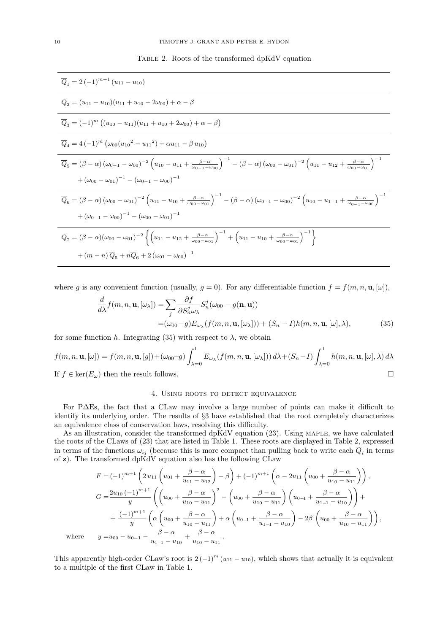Table 2. Roots of the transformed dpKdV equation

$$
\overline{Q}_{1} = 2(-1)^{m+1} (u_{11} - u_{10})
$$
\n
$$
\overline{Q}_{2} = (u_{11} - u_{10})(u_{11} + u_{10} - 2\omega_{00}) + \alpha - \beta
$$
\n
$$
\overline{Q}_{3} = (-1)^{m} ((u_{10} - u_{11})(u_{11} + u_{10} + 2\omega_{00}) + \alpha - \beta)
$$
\n
$$
\overline{Q}_{4} = 4(-1)^{m} (\omega_{00}(u_{10}^{2} - u_{11}^{2}) + \alpha u_{11} - \beta u_{10})
$$
\n
$$
\overline{Q}_{5} = (\beta - \alpha) (\omega_{0-1} - \omega_{00})^{-2} (u_{10} - u_{11} + \frac{\beta - \alpha}{\omega_{0-1} - \omega_{00}})^{-1} - (\beta - \alpha) (\omega_{00} - \omega_{01})^{-2} (u_{11} - u_{12} + \frac{\beta - \alpha}{\omega_{00} - \omega_{01}})^{-1}
$$
\n
$$
+ (\omega_{00} - \omega_{01})^{-1} - (\omega_{0-1} - \omega_{00})^{-1}
$$
\n
$$
\overline{Q}_{6} = (\beta - \alpha) (\omega_{00} - \omega_{01})^{-2} (u_{11} - u_{10} + \frac{\beta - \alpha}{\omega_{00} - \omega_{01}})^{-1} - (\beta - \alpha) (\omega_{0-1} - \omega_{00})^{-2} (u_{10} - u_{1-1} + \frac{\beta - \alpha}{\omega_{0-1} - \omega_{00}})^{-1}
$$
\n
$$
+ (\omega_{0-1} - \omega_{00})^{-1} - (\omega_{00} - \omega_{01})^{-1}
$$
\n
$$
\overline{Q}_{7} = (\beta - \alpha) (\omega_{00} - \omega_{01})^{-2} \left\{ (u_{11} - u_{12} + \frac{\beta - \alpha}{\omega_{00} - \omega_{01}})^{-1} + (u_{11} - u_{10} + \frac{\beta - \alpha}{\omega_{00} - \omega_{01}})^{-1} \right\}
$$
\n
$$
+ (m - n) \overline{Q}_{5} + n \overline{Q}_{6} + 2 (\omega_{01} - \omega_{00})^{-1}
$$

where g is any convenient function (usually,  $g = 0$ ). For any differentiable function  $f = f(m, n, \mathbf{u}, [\omega])$ ,

$$
\frac{d}{d\lambda} f(m, n, \mathbf{u}, [\omega_{\lambda}]) = \sum_{j} \frac{\partial f}{\partial S_{n}^{j} \omega_{\lambda}} S_{n}^{j}(\omega_{00} - g(\mathbf{n}, \mathbf{u}))
$$
\n
$$
= (\omega_{00} - g) E_{\omega_{\lambda}}(f(m, n, \mathbf{u}, [\omega_{\lambda}])) + (S_{n} - I)h(m, n, \mathbf{u}, [\omega], \lambda),
$$
\n(35)

for some function h. Integrating (35) with respect to  $\lambda$ , we obtain

$$
f(m, n, \mathbf{u}, [\omega]) = f(m, n, \mathbf{u}, [g]) + (\omega_{00} - g) \int_{\lambda=0}^{1} E_{\omega_{\lambda}}(f(m, n, \mathbf{u}, [\omega_{\lambda}])) d\lambda + (S_n - I) \int_{\lambda=0}^{1} h(m, n, \mathbf{u}, [\omega], \lambda) d\lambda
$$
  
If  $f \in \text{ker}(E_{\omega})$  then the result follows.

#### 4. USING ROOTS TO DETECT EQUIVALENCE

For P∆Es, the fact that a CLaw may involve a large number of points can make it difficult to identify its underlying order. The results of §3 have established that the root completely characterizes an equivalence class of conservation laws, resolving this difficulty.

As an illustration, consider the transformed dpKdV equation (23). Using MAPLE, we have calculated the roots of the CLaws of (23) that are listed in Table 1. These roots are displayed in Table 2, expressed in terms of the functions  $\omega_{ij}$  (because this is more compact than pulling back to write each  $Q_i$  in terms of  $z$ ). The transformed dpKdV equation also has the following CLaw

$$
F = (-1)^{m+1} \left( 2 u_{11} \left( u_{01} + \frac{\beta - \alpha}{u_{11} - u_{12}} \right) - \beta \right) + (-1)^{m+1} \left( \alpha - 2 u_{11} \left( u_{00} + \frac{\beta - \alpha}{u_{10} - u_{11}} \right) \right),
$$
  
\n
$$
G = \frac{2 u_{10} (-1)^{m+1}}{y} \left( \left( u_{00} + \frac{\beta - \alpha}{u_{10} - u_{11}} \right)^2 - \left( u_{00} + \frac{\beta - \alpha}{u_{10} - u_{11}} \right) \left( u_{0-1} + \frac{\beta - \alpha}{u_{1-1} - u_{10}} \right) \right) +
$$
  
\n
$$
+ \frac{(-1)^{m+1}}{y} \left( \alpha \left( u_{00} + \frac{\beta - \alpha}{u_{10} - u_{11}} \right) + \alpha \left( u_{0-1} + \frac{\beta - \alpha}{u_{1-1} - u_{10}} \right) - 2\beta \left( u_{00} + \frac{\beta - \alpha}{u_{10} - u_{11}} \right) \right),
$$
  
\nwhere  $y = u_{00} - u_{0-1} - \frac{\beta - \alpha}{u_{1-1} - u_{10}} + \frac{\beta - \alpha}{u_{10} - u_{11}}.$ 

This apparently high-order CLaw's root is  $2(-1)^m (u_{11} - u_{10})$ , which shows that actually it is equivalent to a multiple of the first CLaw in Table 1.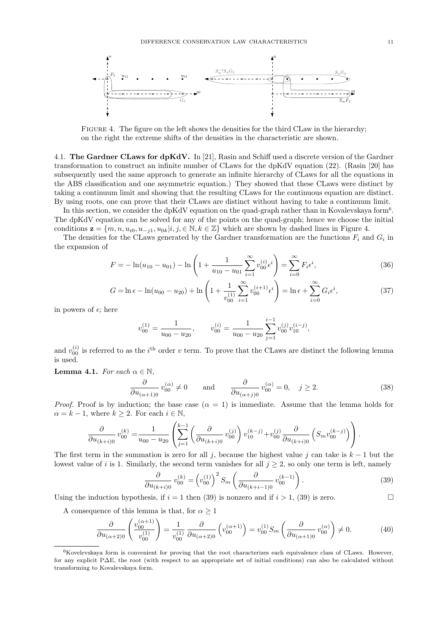

FIGURE 4. The figure on the left shows the densities for the third CLaw in the hierarchy; on the right the extreme shifts of the densities in the characteristic are shown.

4.1. The Gardner CLaws for dpKdV. In [21], Rasin and Schiff used a discrete version of the Gardner transformation to construct an infinite number of CLaws for the dpKdV equation (22). (Rasin [20] has subsequently used the same approach to generate an infinite hierarchy of CLaws for all the equations in the ABS classification and one asymmetric equation.) They showed that these CLaws were distinct by taking a continuum limit and showing that the resulting CLaws for the continuous equation are distinct. By using roots, one can prove that their CLaws are distinct without having to take a continuum limit.

In this section, we consider the dpKdV equation on the quad-graph rather than in Kovalevskaya form<sup>6</sup> . The dpKdV equation can be solved for any of the points on the quad-graph; hence we choose the initial conditions  $\mathbf{z} = \{m, n, u_{i0}, u_{-j1}, u_{0k} | i, j, \in \mathbb{N}, k \in \mathbb{Z}\}\$  which are shown by dashed lines in Figure 4.

The densities for the CLaws generated by the Gardner transformation are the functions  $F_i$  and  $G_i$  in the expansion of

$$
F = -\ln(u_{10} - u_{01}) - \ln\left(1 + \frac{1}{u_{10} - u_{01}}\sum_{i=1}^{\infty} v_{00}^{(i)} \epsilon^i\right) = \sum_{i=0}^{\infty} F_i \epsilon^i,
$$
\n(36)

$$
G = \ln \epsilon - \ln(u_{00} - u_{20}) + \ln \left( 1 + \frac{1}{v_{00}^{(1)}} \sum_{i=1}^{\infty} v_{00}^{(i+1)} \epsilon^i \right) = \ln \epsilon + \sum_{i=0}^{\infty} G_i \epsilon^i,
$$
 (37)

in powers of  $\epsilon$ ; here

$$
v_{00}^{(1)} = \frac{1}{u_{00} - u_{20}}, \qquad v_{00}^{(i)} = \frac{1}{u_{00} - u_{20}} \sum_{j=1}^{i-1} v_{00}^{(j)} v_{10}^{(i-j)},
$$

and  $v_{00}^{(i)}$  is referred to as the i<sup>th</sup> order v term. To prove that the CLaws are distinct the following lemma is used.

**Lemma 4.1.** For each  $\alpha \in \mathbb{N}$ ,

$$
\frac{\partial}{\partial u_{(\alpha+1)0}} v_{00}^{(\alpha)} \neq 0 \quad \text{and} \quad \frac{\partial}{\partial u_{(\alpha+j)0}} v_{00}^{(\alpha)} = 0, \quad j \ge 2. \tag{38}
$$

*Proof.* Proof is by induction; the base case  $(\alpha = 1)$  is immediate. Assume that the lemma holds for  $\alpha = k - 1$ , where  $k \geq 2$ . For each  $i \in \mathbb{N}$ ,

$$
\frac{\partial}{\partial u_{(k+i)0}} v_{00}^{(k)} = \frac{1}{u_{00} - u_{20}} \left( \sum_{j=1}^{k-1} \left( \frac{\partial}{\partial u_{(k+i)0}} v_{00}^{(j)} \right) v_{10}^{(k-j)} + v_{00}^{(j)} \frac{\partial}{\partial u_{(k+i)0}} \left( S_m v_{00}^{(k-j)} \right) \right).
$$

The first term in the summation is zero for all j, because the highest value j can take is  $k - 1$  but the lowest value of i is 1. Similarly, the second term vanishes for all  $j \geq 2$ , so only one term is left, namely

$$
\frac{\partial}{\partial u_{(k+i)0}} v_{00}^{(k)} = \left(v_{00}^{(1)}\right)^2 S_m \left(\frac{\partial}{\partial u_{(k+i-1)0}} v_{00}^{(k-1)}\right). \tag{39}
$$

Using the induction hypothesis, if  $i = 1$  then (39) is nonzero and if  $i > 1$ , (39) is zero.

A consequence of this lemma is that, for  $\alpha \geq 1$ 

$$
\frac{\partial}{\partial u_{(\alpha+2)0}} \left( \frac{v_{00}^{(\alpha+1)}}{v_{00}^{(1)}} \right) = \frac{1}{v_{00}^{(1)}} \frac{\partial}{\partial u_{(\alpha+2)0}} \left( v_{00}^{(\alpha+1)} \right) = v_{00}^{(1)} S_m \left( \frac{\partial}{\partial u_{(\alpha+1)0}} v_{00}^{(\alpha)} \right) \neq 0. \tag{40}
$$

 $6K$ ovelevskaya form is convenient for proving that the root characterizes each equivalence class of CLaws. However, for any explicit P∆E, the root (with respect to an appropriate set of initial conditions) can also be calculated without transforming to Kovalevskaya form.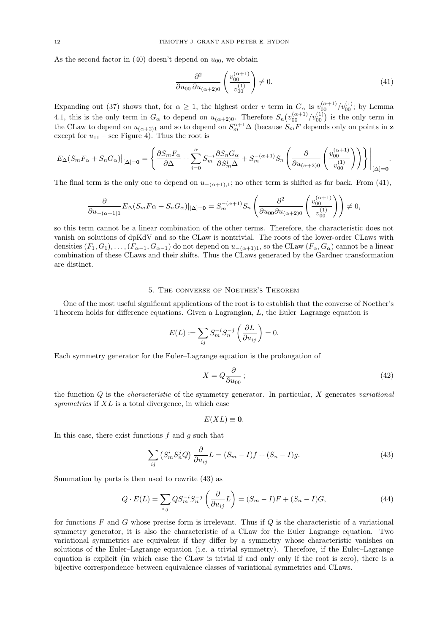As the second factor in (40) doesn't depend on  $u_{00}$ , we obtain

$$
\frac{\partial^2}{\partial u_{00} \partial u_{(\alpha+2)0}} \left( \frac{v_{00}^{(\alpha+1)}}{v_{00}^{(1)}} \right) \neq 0. \tag{41}
$$

Expanding out (37) shows that, for  $\alpha \geq 1$ , the highest order v term in  $G_{\alpha}$  is  $v_{00}^{(\alpha+1)}/v_{00}^{(1)}$ ; by Lemma 4.1, this is the only term in  $G_{\alpha}$  to depend on  $u_{(\alpha+2)0}$ . Therefore  $S_n(v_{00}^{(\alpha+1)}/v_{00}^{(1)})$  is the only term in the CLaw to depend on  $u_{(\alpha+2)1}$  and so to depend on  $S_m^{\alpha+1}\Delta$  (because  $S_mF$  depends only on points in z except for  $u_{11}$  – see Figure 4). Thus the root is

$$
E_{\Delta}(S_m F_{\alpha} + S_n G_{\alpha})|_{[\Delta]=\mathbf{0}} = \left\{ \frac{\partial S_m F_{\alpha}}{\partial \Delta} + \sum_{i=0}^{\alpha} S_m^{-i} \frac{\partial S_n G_{\alpha}}{\partial S_m^{i} \Delta} + S_m^{-(\alpha+1)} S_n \left( \frac{\partial}{\partial u_{(\alpha+2)0}} \left( \frac{v_{00}^{(\alpha+1)}}{v_{00}^{(1)}} \right) \right) \right\} \Big|_{[\Delta]=\mathbf{0}}.
$$

The final term is the only one to depend on  $u_{-(\alpha+1),1}$ ; no other term is shifted as far back. From (41),

$$
\frac{\partial}{\partial u_{-(\alpha+1)1}} E_\Delta(S_mF\alpha+S_nG_\alpha)|_{[\Delta]=\mathbf{0}}=S_m^{-(\alpha+1)}S_n\left(\frac{\partial^2}{\partial u_{00}\partial u_{(\alpha+2)0}}\left(\frac{v_{00}^{(\alpha+1)}}{v_{00}^{(1)}}\right)\right)\neq 0,
$$

so this term cannot be a linear combination of the other terms. Therefore, the characteristic does not vanish on solutions of dpKdV and so the CLaw is nontrivial. The roots of the lower-order CLaws with densities  $(F_1, G_1), \ldots, (F_{\alpha-1}, G_{\alpha-1})$  do not depend on  $u_{-(\alpha+1)1}$ , so the CLaw  $(F_\alpha, G_\alpha)$  cannot be a linear combination of these CLaws and their shifts. Thus the CLaws generated by the Gardner transformation are distinct.

#### 5. The converse of Noether's Theorem

One of the most useful significant applications of the root is to establish that the converse of Noether's Theorem holds for difference equations. Given a Lagrangian, L, the Euler–Lagrange equation is

$$
E(L) := \sum_{ij} S_m^{-i} S_n^{-j} \left( \frac{\partial L}{\partial u_{ij}} \right) = 0.
$$

Each symmetry generator for the Euler–Lagrange equation is the prolongation of

$$
X = Q \frac{\partial}{\partial u_{00}}; \tag{42}
$$

the function  $Q$  is the *characteristic* of the symmetry generator. In particular,  $X$  generates variational symmetries if  $XL$  is a total divergence, in which case

$$
E(XL)\equiv 0.
$$

In this case, there exist functions  $f$  and  $g$  such that

$$
\sum_{ij} \left( S_m^i S_n^j Q \right) \frac{\partial}{\partial u_{ij}} L = (S_m - I)f + (S_n - I)g. \tag{43}
$$

Summation by parts is then used to rewrite (43) as

$$
Q \cdot E(L) = \sum_{i,j} Q S_m^{-i} S_n^{-j} \left( \frac{\partial}{\partial u_{ij}} L \right) = (S_m - I)F + (S_n - I)G,\tag{44}
$$

for functions  $F$  and  $G$  whose precise form is irrelevant. Thus if  $Q$  is the characteristic of a variational symmetry generator, it is also the characteristic of a CLaw for the Euler–Lagrange equation. Two variational symmetries are equivalent if they differ by a symmetry whose characteristic vanishes on solutions of the Euler–Lagrange equation (i.e. a trivial symmetry). Therefore, if the Euler–Lagrange equation is explicit (in which case the CLaw is trivial if and only only if the root is zero), there is a bijective correspondence between equivalence classes of variational symmetries and CLaws.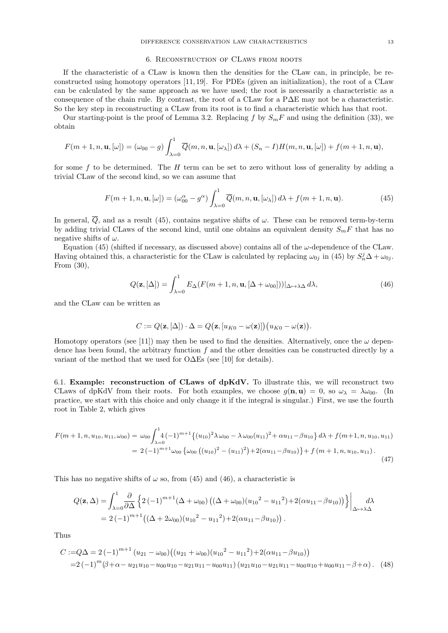#### 6. Reconstruction of CLaws from roots

If the characteristic of a CLaw is known then the densities for the CLaw can, in principle, be reconstructed using homotopy operators [11, 19]. For PDEs (given an initialization), the root of a CLaw can be calculated by the same approach as we have used; the root is necessarily a characteristic as a consequence of the chain rule. By contrast, the root of a CLaw for a P∆E may not be a characteristic. So the key step in reconstructing a CLaw from its root is to find a characteristic which has that root.

Our starting-point is the proof of Lemma 3.2. Replacing f by  $S_mF$  and using the definition (33), we obtain

$$
F(m+1,n,\mathbf{u},[\omega]) = (\omega_{00} - g) \int_{\lambda=0}^{1} \overline{Q}(m,n,\mathbf{u},[\omega_{\lambda}]) d\lambda + (S_n - I)H(m,n,\mathbf{u},[\omega]) + f(m+1,n,\mathbf{u}),
$$

for some  $f$  to be determined. The  $H$  term can be set to zero without loss of generality by adding a trivial CLaw of the second kind, so we can assume that

$$
F(m+1,n,\mathbf{u},[\omega]) = (\omega_{00}^{\alpha} - g^{\alpha}) \int_{\lambda=0}^{1} \overline{Q}(m,n,\mathbf{u},[\omega_{\lambda}]) d\lambda + f(m+1,n,\mathbf{u}).
$$
 (45)

In general,  $\overline{Q}$ , and as a result (45), contains negative shifts of  $\omega$ . These can be removed term-by-term by adding trivial CLaws of the second kind, until one obtains an equivalent density  $S_mF$  that has no negative shifts of  $\omega$ .

Equation (45) (shifted if necessary, as discussed above) contains all of the  $\omega$ -dependence of the CLaw. Having obtained this, a characteristic for the CLaw is calculated by replacing  $\omega_{0j}$  in (45) by  $S_n^j \Delta + \omega_{0j}$ . From (30),

$$
Q(\mathbf{z}, [\Delta]) = \int_{\lambda=0}^{1} E_{\Delta}(F(m+1, n, \mathbf{u}, [\Delta + \omega_{00}]))|_{\Delta \mapsto \lambda \Delta} d\lambda,
$$
 (46)

and the CLaw can be written as

$$
C := Q(\mathbf{z}, [\Delta]) \cdot \Delta = Q(\mathbf{z}, [u_{K0} - \omega(\mathbf{z})]) (u_{K0} - \omega(\mathbf{z})).
$$

Homotopy operators (see [11]) may then be used to find the densities. Alternatively, once the  $\omega$  dependence has been found, the arbitrary function f and the other densities can be constructed directly by a variant of the method that we used for O∆Es (see [10] for details).

6.1. Example: reconstruction of CLaws of dpKdV. To illustrate this, we will reconstruct two CLaws of dpKdV from their roots. For both examples, we choose  $q(\mathbf{n}, \mathbf{u}) = 0$ , so  $\omega_{\lambda} = \lambda \omega_{00}$ . (In practice, we start with this choice and only change it if the integral is singular.) First, we use the fourth root in Table 2, which gives

$$
F(m+1, n, u_{10}, u_{11}, \omega_{00}) = \omega_{00} \int_{\lambda=0}^{1} (4(-1)^{m+1} \{ (u_{10})^2 \lambda \omega_{00} - \lambda \omega_{00} (u_{11})^2 + \alpha u_{11} - \beta u_{10} \} d\lambda + f(m+1, n, u_{10}, u_{11})
$$
  
=  $2 (-1)^{m+1} \omega_{00} \{ \omega_{00} ((u_{10})^2 - (u_{11})^2) + 2(\alpha u_{11} - \beta u_{10}) \} + f(m+1, n, u_{10}, u_{11}).$  (47)

This has no negative shifts of  $\omega$  so, from (45) and (46), a characteristic is

$$
Q(\mathbf{z}, \Delta) = \int_{\lambda=0}^{1} \frac{\partial}{\partial \Delta} \left\{ 2(-1)^{m+1} (\Delta + \omega_{00}) \left( (\Delta + \omega_{00}) (u_{10}^2 - u_{11}^2) + 2(\alpha u_{11} - \beta u_{10}) \right) \right\} \Big|_{\Delta \mapsto \lambda \Delta} d\lambda
$$
  
= 2 (-1)<sup>m+1</sup> ((\Delta + 2\omega\_{00}) (u\_{10}^2 - u\_{11}^2) + 2(\alpha u\_{11} - \beta u\_{10})) .

Thus

$$
C := Q\Delta = 2(-1)^{m+1} (u_{21} - \omega_{00}) ((u_{21} + \omega_{00})(u_{10}^2 - u_{11}^2) + 2(\alpha u_{11} - \beta u_{10}))
$$
  
=2 (-1)<sup>m</sup>( $\beta$ + $\alpha$ -u\_{21}u\_{10} - u\_{00}u\_{10} - u\_{21}u\_{11} - u\_{00}u\_{11}) (u\_{21}u\_{10} - u\_{21}u\_{11} - u\_{00}u\_{10} + u\_{00}u\_{11} - \beta + \alpha). (48)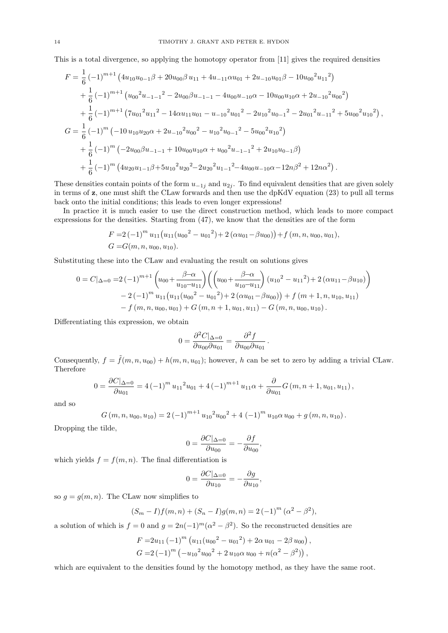This is a total divergence, so applying the homotopy operator from [11] gives the required densities

$$
F = \frac{1}{6} \left(-1\right)^{m+1} \left(4u_{10}u_{0-1}\beta + 20u_{00}\beta u_{11} + 4u_{-11}\alpha u_{01} + 2u_{-10}u_{01}\beta - 10u_{00}^2u_{11}^2\right)
$$
  
+ 
$$
\frac{1}{6} \left(-1\right)^{m+1} \left(u_{00}^2u_{-1-1}^2 - 2u_{00}\beta u_{-1-1} - 4u_{00}u_{-10}\alpha - 10u_{00}u_{10}\alpha + 2u_{-10}^2u_{00}^2\right)
$$
  
+ 
$$
\frac{1}{6} \left(-1\right)^{m+1} \left(7u_{01}^2u_{11}^2 - 14\alpha u_{11}u_{01} - u_{-10}^2u_{01}^2 - 2u_{10}^2u_{0-1}^2 - 2u_{01}^2u_{-11}^2 + 5u_{00}^2u_{10}^2\right),
$$
  

$$
G = \frac{1}{6} \left(-1\right)^m \left(-10 u_{10}u_{20}\alpha + 2u_{-10}^2u_{00}^2 - u_{10}^2u_{0-1}^2 - 5u_{00}^2u_{10}^2\right)
$$
  
+ 
$$
\frac{1}{6} \left(-1\right)^m \left(-2u_{00}\beta u_{-1-1} + 10u_{00}u_{10}\alpha + u_{00}^2u_{-1-1}^2 + 2u_{10}u_{0-1}\beta\right)
$$
  
+ 
$$
\frac{1}{6} \left(-1\right)^m \left(4u_{20}u_{1-1}\beta + 5u_{10}^2u_{20}^2 - 2u_{20}^2u_{1-1}^2 - 4u_{00}u_{-10}\alpha - 12n\beta^2 + 12n\alpha^2\right).
$$

These densities contain points of the form  $u_{-1j}$  and  $u_{2j}$ . To find equivalent densities that are given solely in terms of z, one must shift the CLaw forwards and then use the dpKdV equation (23) to pull all terms back onto the initial conditions; this leads to even longer expressions!

In practice it is much easier to use the direct construction method, which leads to more compact expressions for the densities. Starting from (47), we know that the densities are of the form

$$
F = 2(-1)^{m} u_{11} (u_{11}(u_{00}^{2} - u_{01}^{2}) + 2 (\alpha u_{01} - \beta u_{00})) + f (m, n, u_{00}, u_{01}),
$$
  
\n
$$
G = G(m, n, u_{00}, u_{10}).
$$

Substituting these into the CLaw and evaluating the result on solutions gives

$$
0 = C|_{\Delta=0} = 2 (-1)^{m+1} \left( u_{00} + \frac{\beta - \alpha}{u_{10} - u_{11}} \right) \left( \left( u_{00} + \frac{\beta - \alpha}{u_{10} - u_{11}} \right) (u_{10}^2 - u_{11}^2) + 2 (\alpha u_{11} - \beta u_{10}) \right)
$$
  

$$
- 2 (-1)^m u_{11} (u_{11} (u_{00}^2 - u_{01}^2) + 2 (\alpha u_{01} - \beta u_{00}) ) + f (m + 1, n, u_{10}, u_{11})
$$
  

$$
- f (m, n, u_{00}, u_{01}) + G (m, n + 1, u_{01}, u_{11}) - G (m, n, u_{00}, u_{10}).
$$

Differentiating this expression, we obtain

$$
0 = \frac{\partial^2 C|_{\Delta=0}}{\partial u_{00}\partial u_{01}} = \frac{\partial^2 f}{\partial u_{00}\partial u_{01}}.
$$

Consequently,  $f = \tilde{f}(m, n, u_{00}) + h(m, n, u_{01})$ ; however, h can be set to zero by adding a trivial CLaw. Therefore

$$
0 = \frac{\partial C|_{\Delta=0}}{\partial u_{01}} = 4 (-1)^m u_{11}^2 u_{01} + 4 (-1)^{m+1} u_{11} \alpha + \frac{\partial}{\partial u_{01}} G(m, n+1, u_{01}, u_{11}),
$$

and so

$$
G(m, n, u_{00}, u_{10}) = 2(-1)^{m+1} u_{10}^{2} u_{00}^{2} + 4 (-1)^{m} u_{10} \alpha u_{00} + g(m, n, u_{10}).
$$

Dropping the tilde,

$$
0=\frac{\partial C|_{\Delta=0}}{\partial u_{00}}=-\frac{\partial f}{\partial u_{00}},
$$

which yields  $f = f(m, n)$ . The final differentiation is

$$
0 = \frac{\partial C|_{\Delta=0}}{\partial u_{10}} = -\frac{\partial g}{\partial u_{10}},
$$

so  $g = g(m, n)$ . The CLaw now simplifies to

$$
(S_m - I)f(m, n) + (S_n - I)g(m, n) = 2(-1)^m (\alpha^2 - \beta^2),
$$

a solution of which is  $f = 0$  and  $g = 2n(-1)^m(\alpha^2 - \beta^2)$ . So the reconstructed densities are

$$
F = 2u_{11} (-1)^m (u_{11}(u_{00}^2 - u_{01}^2) + 2\alpha u_{01} - 2\beta u_{00}),
$$
  
\n
$$
G = 2 (-1)^m (-u_{10}^2 u_{00}^2 + 2 u_{10}\alpha u_{00} + n(\alpha^2 - \beta^2)),
$$

which are equivalent to the densities found by the homotopy method, as they have the same root.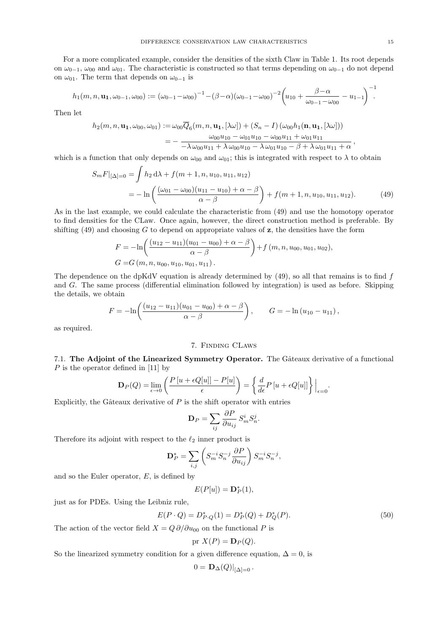For a more complicated example, consider the densities of the sixth Claw in Table 1. Its root depends on  $\omega_{0-1}$ ,  $\omega_{00}$  and  $\omega_{01}$ . The characteristic is constructed so that terms depending on  $\omega_{0-1}$  do not depend on  $\omega_{01}$ . The term that depends on  $\omega_{0-1}$  is

$$
h_1(m, n, \mathbf{u}_1, \omega_{0-1}, \omega_{00}) := (\omega_{0-1} - \omega_{00})^{-1} - (\beta - \alpha)(\omega_{0-1} - \omega_{00})^{-2} \left(u_{10} + \frac{\beta - \alpha}{\omega_{0-1} - \omega_{00}} - u_{1-1}\right)^{-1}.
$$

Then let

$$
h_2(m, n, \mathbf{u_1}, \omega_{00}, \omega_{01}) := \omega_{00}\overline{Q}_6(m, n, \mathbf{u_1}, [\lambda \omega]) + (S_n - I) (\omega_{00}h_1(\mathbf{n}, \mathbf{u_1}, [\lambda \omega]))
$$
  
= 
$$
-\frac{\omega_{00}u_{10} - \omega_{01}u_{10} - \omega_{00}u_{11} + \omega_{01}u_{11}}{-\lambda \omega_{00}u_{11} + \lambda \omega_{00}u_{10} - \lambda \omega_{01}u_{10} - \beta + \lambda \omega_{01}u_{11} + \alpha},
$$

which is a function that only depends on  $\omega_{00}$  and  $\omega_{01}$ ; this is integrated with respect to  $\lambda$  to obtain

$$
S_m F|_{[\Delta]=0} = \int h_2 d\lambda + f(m+1, n, u_{10}, u_{11}, u_{12})
$$
  
= 
$$
-\ln\left(\frac{(\omega_{01} - \omega_{00})(u_{11} - u_{10}) + \alpha - \beta}{\alpha - \beta}\right) + f(m+1, n, u_{10}, u_{11}, u_{12}).
$$
 (49)

As in the last example, we could calculate the characteristic from (49) and use the homotopy operator to find densities for the CLaw. Once again, however, the direct construction method is preferable. By shifting  $(49)$  and choosing G to depend on appropriate values of z, the densities have the form

$$
F = -\ln\left(\frac{(u_{12} - u_{11})(u_{01} - u_{00}) + \alpha - \beta}{\alpha - \beta}\right) + f(m, n, u_{00}, u_{01}, u_{02}),
$$
  
\n
$$
G = G(m, n, u_{00}, u_{10}, u_{01}, u_{11}).
$$

The dependence on the dpKdV equation is already determined by  $(49)$ , so all that remains is to find f and G. The same process (differential elimination followed by integration) is used as before. Skipping the details, we obtain

$$
F = -\ln\left(\frac{(u_{12} - u_{11})(u_{01} - u_{00}) + \alpha - \beta}{\alpha - \beta}\right), \qquad G = -\ln(u_{10} - u_{11}),
$$

as required.

#### 7. Finding CLaws

7.1. The Adjoint of the Linearized Symmetry Operator. The Gâteaux derivative of a functional  $P$  is the operator defined in [11] by

$$
\mathbf{D}_P(Q) = \lim_{\epsilon \to 0} \left( \frac{P\left[u + \epsilon Q[u]\right] - P[u]}{\epsilon} \right) = \left\{ \frac{d}{d\epsilon} P\left[u + \epsilon Q[u]\right] \right\} \Big|_{\epsilon = 0}.
$$

Explicitly, the Gâteaux derivative of  $P$  is the shift operator with entries

$$
\mathbf{D}_P = \sum_{ij} \frac{\partial P}{\partial u_{ij}} S^i_m S^j_n.
$$

Therefore its adjoint with respect to the  $\ell_2$  inner product is

$$
\mathbf{D}_P^* = \sum_{i,j} \left( S_m^{-i} S_n^{-j} \frac{\partial P}{\partial u_{ij}} \right) S_m^{-i} S_n^{-j},
$$

and so the Euler operator,  $E$ , is defined by

$$
E(P[u]) = \mathbf{D}_P^*(1),
$$

just as for PDEs. Using the Leibniz rule,

$$
E(P \cdot Q) = D_{P \cdot Q}^{*}(1) = D_{P}^{*}(Q) + D_{Q}^{*}(P). \tag{50}
$$

The action of the vector field  $X = Q \partial/\partial u_{00}$  on the functional P is

pr 
$$
X(P) = \mathbf{D}_P(Q)
$$
.

So the linearized symmetry condition for a given difference equation,  $\Delta = 0$ , is

$$
0 = \mathbf{D}_{\Delta}(Q)|_{[\Delta]=0}.
$$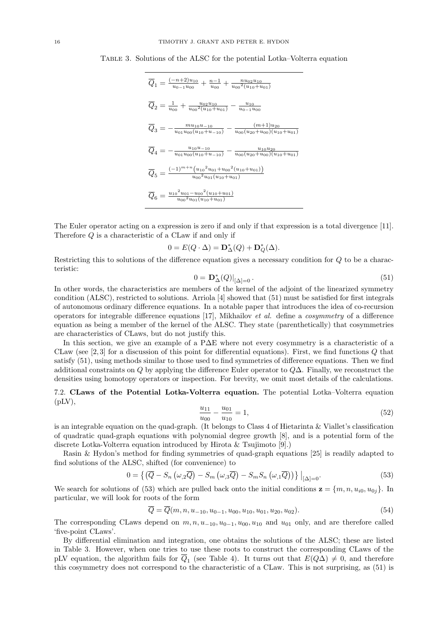Table 3. Solutions of the ALSC for the potential Lotka–Volterra equation

$$
\overline{Q}_1 = \frac{(-n+2)u_{10}}{u_{0-1}u_{00}} + \frac{n-1}{u_{00}} + \frac{n u_{02}u_{10}}{u_{00}^2(u_{10}+u_{01})}
$$
\n
$$
\overline{Q}_2 = \frac{1}{u_{00}} + \frac{u_{02}u_{10}}{u_{00}^2(u_{10}+u_{01})} - \frac{u_{10}}{u_{0-1}u_{00}}
$$
\n
$$
\overline{Q}_3 = -\frac{mu_{10}u_{-10}}{u_{01}u_{00}(u_{10}+u_{-10})} - \frac{(m+1)u_{20}}{u_{00}(u_{20}+u_{00})(u_{10}+u_{01})}
$$
\n
$$
\overline{Q}_4 = -\frac{u_{10}u_{-10}}{u_{01}u_{00}(u_{10}+u_{-10})} - \frac{u_{10}u_{20}}{u_{00}(u_{20}+u_{00})(u_{10}+u_{01})}
$$
\n
$$
\overline{Q}_5 = \frac{(-1)^{m+n}(u_{10}^2u_{01}+u_{00}^2(u_{10}+u_{01}))}{u_{00}^2u_{01}(u_{10}+u_{01})}
$$
\n
$$
\overline{Q}_6 = \frac{u_{10}^2u_{01}-u_{00}^2(u_{10}+u_{01})}{u_{00}^2u_{01}(u_{10}+u_{01})}
$$

The Euler operator acting on a expression is zero if and only if that expression is a total divergence [11]. Therefore Q is a characteristic of a CLaw if and only if

$$
0 = E(Q \cdot \Delta) = \mathbf{D}_{\Delta}^*(Q) + \mathbf{D}_{Q}^*(\Delta).
$$

Restricting this to solutions of the difference equation gives a necessary condition for Q to be a characteristic:

$$
0 = \mathbf{D}_{\Delta}^*(Q)|_{[\Delta]=0}.
$$
\n<sup>(51)</sup>

In other words, the characteristics are members of the kernel of the adjoint of the linearized symmetry condition (ALSC), restricted to solutions. Arriola [4] showed that (51) must be satisfied for first integrals of autonomous ordinary difference equations. In a notable paper that introduces the idea of co-recursion operators for integrable difference equations [17], Mikhailov et al. define a cosymmetry of a difference equation as being a member of the kernel of the ALSC. They state (parenthetically) that cosymmetries are characteristics of CLaws, but do not justify this.

In this section, we give an example of a P∆E where not every cosymmetry is a characteristic of a CLaw (see [2, 3] for a discussion of this point for differential equations). First, we find functions Q that satisfy (51), using methods similar to those used to find symmetries of difference equations. Then we find additional constraints on  $Q$  by applying the difference Euler operator to  $Q\Delta$ . Finally, we reconstruct the densities using homotopy operators or inspection. For brevity, we omit most details of the calculations.

7.2. CLaws of the Potential Lotka-Volterra equation. The potential Lotka–Volterra equation  $(pLV),$ 

$$
\frac{u_{11}}{u_{00}} - \frac{u_{01}}{u_{10}} = 1,\tag{52}
$$

is an integrable equation on the quad-graph. (It belongs to Class 4 of Hietarinta & Viallet's classification of quadratic quad-graph equations with polynomial degree growth [8], and is a potential form of the discrete Lotka-Volterra equation introduced by Hirota & Tsujimoto [9].)

Rasin & Hydon's method for finding symmetries of quad-graph equations [25] is readily adapted to find solutions of the ALSC, shifted (for convenience) to

$$
0 = \left\{ \left( \overline{Q} - S_n \left( \omega_{,2} \overline{Q} \right) - S_m \left( \omega_{,3} \overline{Q} \right) - S_m S_n \left( \omega_{,1} \overline{Q} \right) \right) \right\} \big|_{[\Delta] = 0}.
$$
 (53)

We search for solutions of (53) which are pulled back onto the initial conditions  $\mathbf{z} = \{m, n, u_{i0}, u_{0j}\}$ . In particular, we will look for roots of the form

$$
\overline{Q} = \overline{Q}(m, n, u_{-10}, u_{0-1}, u_{00}, u_{10}, u_{01}, u_{20}, u_{02}).
$$
\n(54)

The corresponding CLaws depend on  $m, n, u_{-10}, u_{0-1}, u_{00}, u_{10}$  and  $u_{01}$  only, and are therefore called 'five-point CLaws'.

By differential elimination and integration, one obtains the solutions of the ALSC; these are listed in Table 3. However, when one tries to use these roots to construct the corresponding CLaws of the pLV equation, the algorithm fails for  $Q_1$  (see Table 4). It turns out that  $E(Q\Delta) \neq 0$ , and therefore this cosymmetry does not correspond to the characteristic of a CLaw. This is not surprising, as (51) is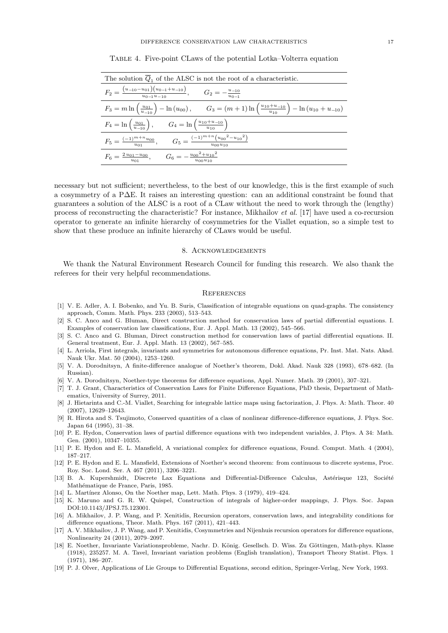| The solution $\overline{Q}_1$ of the ALSC is not the root of a characteristic.                                                                                     |
|--------------------------------------------------------------------------------------------------------------------------------------------------------------------|
| $F_2 = \frac{(u_{-10} - u_{01})(u_{0-1} + u_{-10})}{u_{0-1}u_{-10}},$ $G_2 = -\frac{u_{-10}}{u_{0-1}}$                                                             |
| $F_3 = m \ln \left( \frac{u_{01}}{u_{-10}} \right) - \ln (u_{00}), \qquad G_3 = (m+1) \ln \left( \frac{u_{10} + u_{-10}}{u_{10}} \right) - \ln (u_{10} + u_{-10})$ |
| $F_4 = \ln\left(\frac{u_{01}}{u_{-10}}\right), \qquad G_4 = \ln\left(\frac{u_{10}+u_{-10}}{u_{10}}\right)$                                                         |
| $F_5 = \frac{(-1)^{m+n}u_{00}}{u_{01}},$ $G_5 = \frac{(-1)^{m+n}(u_{00}^2 - u_{10}^2)}{u_{00}u_{10}}$                                                              |
| $F_6 = \frac{2 u_{01} - u_{00}}{u_{01}}, \qquad G_6 = -\frac{u_{00}^2 + u_{10}^2}{u_{00} u_{10}}$                                                                  |

Table 4. Five-point CLaws of the potential Lotka–Volterra equation

necessary but not sufficient; nevertheless, to the best of our knowledge, this is the first example of such a cosymmetry of a P∆E. It raises an interesting question: can an additional constraint be found that guarantees a solution of the ALSC is a root of a CLaw without the need to work through the (lengthy) process of reconstructing the characteristic? For instance, Mikhailov et al. [17] have used a co-recursion operator to generate an infinite hierarchy of cosymmetries for the Viallet equation, so a simple test to show that these produce an infinite hierarchy of CLaws would be useful.

#### 8. Acknowledgements

We thank the Natural Environment Research Council for funding this research. We also thank the referees for their very helpful recommendations.

#### **REFERENCES**

- [1] V. E. Adler, A. I. Bobenko, and Yu. B. Suris, Classification of integrable equations on quad-graphs. The consistency approach, Comm. Math. Phys. 233 (2003), 513–543.
- [2] S. C. Anco and G. Bluman, Direct construction method for conservation laws of partial differential equations. I. Examples of conservation law classifications, Eur. J. Appl. Math. 13 (2002), 545–566.
- [3] S. C. Anco and G. Bluman, Direct construction method for conservation laws of partial differential equations. II. General treatment, Eur. J. Appl. Math. 13 (2002), 567–585.
- [4] L. Arriola, First integrals, invariants and symmetries for autonomous difference equations, Pr. Inst. Mat. Nats. Akad. Nauk Ukr. Mat. 50 (2004), 1253–1260.
- [5] V. A. Dorodnitsyn, A finite-difference analogue of Noether's theorem, Dokl. Akad. Nauk 328 (1993), 678–682. (In Russian).
- [6] V. A. Dorodnitsyn, Noether-type theorems for difference equations, Appl. Numer. Math. 39 (2001), 307–321.
- [7] T. J. Grant, Characteristics of Conservation Laws for Finite Difference Equations, PhD thesis, Department of Mathematics, University of Surrey, 2011.
- [8] J. Hietarinta and C.-M. Viallet, Searching for integrable lattice maps using factorization, J. Phys. A: Math. Theor. 40 (2007), 12629–12643.
- [9] R. Hirota and S. Tsujimoto, Conserved quantities of a class of nonlinear difference-difference equations, J. Phys. Soc. Japan 64 (1995), 31–38.
- [10] P. E. Hydon, Conservation laws of partial difference equations with two independent variables, J. Phys. A 34: Math. Gen. (2001), 10347–10355.
- [11] P. E. Hydon and E. L. Mansfield, A variational complex for difference equations, Found. Comput. Math. 4 (2004), 187–217.
- [12] P. E. Hydon and E. L. Mansfield, Extensions of Noether's second theorem: from continuous to discrete systems, Proc. Roy. Soc. Lond. Ser. A 467 (2011), 3206–3221.
- [13] B. A. Kupershmidt, Discrete Lax Equations and Differential-Difference Calculus, Astérisque 123, Société Mathématique de France, Paris, 1985.
- [14] L. Martínez Alonso, On the Noether map, Lett. Math. Phys. 3 (1979), 419–424.
- [15] K. Maruno and G. R. W. Quispel, Construction of integrals of higher-order mappings, J. Phys. Soc. Japan DOI:10.1143/JPSJ.75.123001.
- [16] A. Mikhailov, J. P. Wang, and P. Xenitidis, Recursion operators, conservation laws, and integrability conditions for difference equations, Theor. Math. Phys. 167 (2011), 421–443.
- [17] A. V. Mikhailov, J. P. Wang, and P. Xenitidis, Cosymmetries and Nijenhuis recursion operators for difference equations, Nonlinearity 24 (2011), 2079–2097.
- [18] E. Noether, Invariante Variationsprobleme, Nachr. D. König. Gesellsch. D. Wiss. Zu Göttingen, Math-phys. Klasse (1918), 235257. M. A. Tavel, Invariant variation problems (English translation), Transport Theory Statist. Phys. 1 (1971), 186–207.
- [19] P. J. Olver, Applications of Lie Groups to Differential Equations, second edition, Springer-Verlag, New York, 1993.